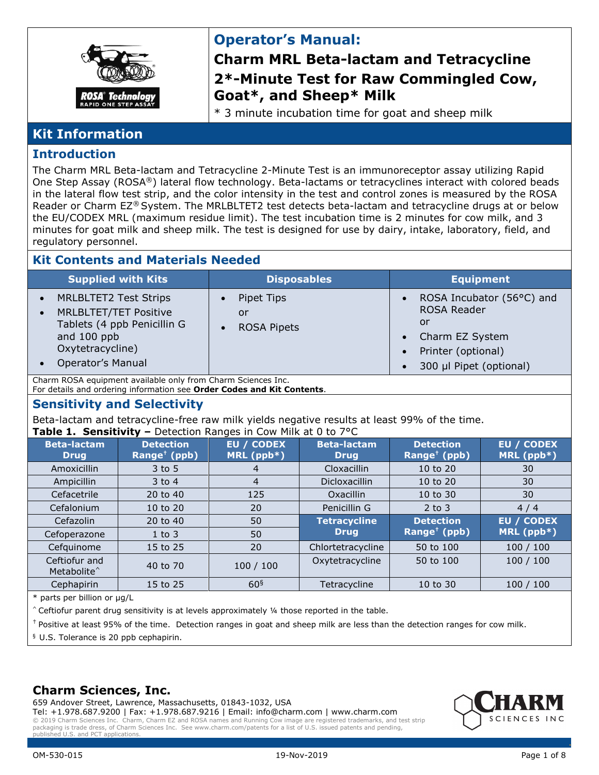

## **Operator's Manual:**

## **Charm MRL Beta-lactam and Tetracycline 2\*-Minute Test for Raw Commingled Cow, Goat\*, and Sheep\* Milk**

\* 3 minute incubation time for goat and sheep milk

## **Kit Information**

#### **Introduction**

The Charm MRL Beta-lactam and Tetracycline 2-Minute Test is an immunoreceptor assay utilizing Rapid One Step Assay (ROSA®) lateral flow technology. Beta-lactams or tetracyclines interact with colored beads in the lateral flow test strip, and the color intensity in the test and control zones is measured by the ROSA Reader or Charm EZ® System. The MRLBLTET2 test detects beta-lactam and tetracycline drugs at or below the EU/CODEX MRL (maximum residue limit). The test incubation time is 2 minutes for cow milk, and 3 minutes for goat milk and sheep milk. The test is designed for use by dairy, intake, laboratory, field, and regulatory personnel.

#### **Kit Contents and Materials Needed**

|                        | <b>Supplied with Kits</b>                                                                                                                                  | <b>Disposables</b>                     | <b>Equipment</b>                                                                                                          |
|------------------------|------------------------------------------------------------------------------------------------------------------------------------------------------------|----------------------------------------|---------------------------------------------------------------------------------------------------------------------------|
| $\bullet$<br>$\bullet$ | <b>MRLBLTET2 Test Strips</b><br><b>MRLBLTET/TET Positive</b><br>Tablets (4 ppb Penicillin G<br>and 100 ppb<br>Oxytetracycline)<br><b>Operator's Manual</b> | Pipet Tips<br>or<br><b>ROSA Pipets</b> | ROSA Incubator (56°C) and<br><b>ROSA Reader</b><br>or<br>Charm EZ System<br>Printer (optional)<br>300 µl Pipet (optional) |

Charm ROSA equipment available only from Charm Sciences Inc.

For details and ordering information see **Order Codes and Kit Contents**.

#### **Sensitivity and Selectivity**

Beta-lactam and tetracycline-free raw milk yields negative results at least 99% of the time.

|  | Table 1. Sensitivity - Detection Ranges in Cow Milk at 0 to 7°C |  |  |
|--|-----------------------------------------------------------------|--|--|

| ianie II. Selisitivity<br>Detection Ranges in Cow Plan at 0 to 7 C |                                              |                          |                                   |                                                           |                                   |
|--------------------------------------------------------------------|----------------------------------------------|--------------------------|-----------------------------------|-----------------------------------------------------------|-----------------------------------|
| <b>Beta-lactam</b><br><b>Drug</b>                                  | <b>Detection</b><br>Range <sup>†</sup> (ppb) | EU / CODEX<br>MRL (ppb*) | <b>Beta-lactam</b><br><b>Drug</b> | <b>Detection</b><br>Range <sup><math>+</math></sup> (ppb) | <b>EU / CODEX</b><br>MRL $(ppb*)$ |
| Amoxicillin                                                        | $3$ to 5                                     |                          | Cloxacillin                       | 10 to 20                                                  | 30                                |
| Ampicillin                                                         | $3$ to 4                                     | 4                        | Dicloxacillin                     | 10 to 20                                                  | 30                                |
| Cefacetrile                                                        | 20 to 40                                     | 125                      | <b>Oxacillin</b>                  | 10 to 30                                                  | 30                                |
| Cefalonium                                                         | 10 to 20                                     | 20                       | Penicillin G                      | $2$ to $3$                                                | 4/4                               |
| Cefazolin                                                          | 20 to 40                                     | 50                       | <b>Tetracycline</b>               | <b>Detection</b>                                          | <b>EU / CODEX</b>                 |
| Cefoperazone                                                       | $1$ to $3$                                   | 50                       | <b>Drug</b>                       | Range <sup><math>+</math></sup> (ppb)                     | MRL $(ppb*)$                      |
| Cefquinome                                                         | 15 to 25                                     | 20                       | Chlortetracycline                 | 50 to 100                                                 | 100/100                           |
| Ceftiofur and<br>Metabolite <sup>^</sup>                           | 40 to 70                                     | 100 / 100                | Oxytetracycline                   | 50 to 100                                                 | 100 / 100                         |
| Cephapirin                                                         | 15 to 25                                     | 60 <sup>§</sup>          | Tetracycline                      | 10 to 30                                                  | 100/100                           |

\* parts per billion or µg/L

 $\hat{C}$  Ceftiofur parent drug sensitivity is at levels approximately  $\frac{1}{4}$  those reported in the table.

† Positive at least 95% of the time. Detection ranges in goat and sheep milk are less than the detection ranges for cow milk.

§ U.S. Tolerance is 20 ppb cephapirin.

#### **Charm Sciences, Inc.**

659 Andover Street, Lawrence, Massachusetts, 01843-1032, USA

Tel: +1.978.687.9200 | Fax: +1.978.687.9216 | Email: info@charm.com | www.charm.com © 2019 Charm Sciences Inc. Charm, Charm EZ and ROSA names and Running Cow image are registered trademarks, and test strip packaging is trade dress, of Charm Sciences Inc. See www.charm.com/patents for a list of U.S. issued patents and pending, ublished U.S. and PCT applications

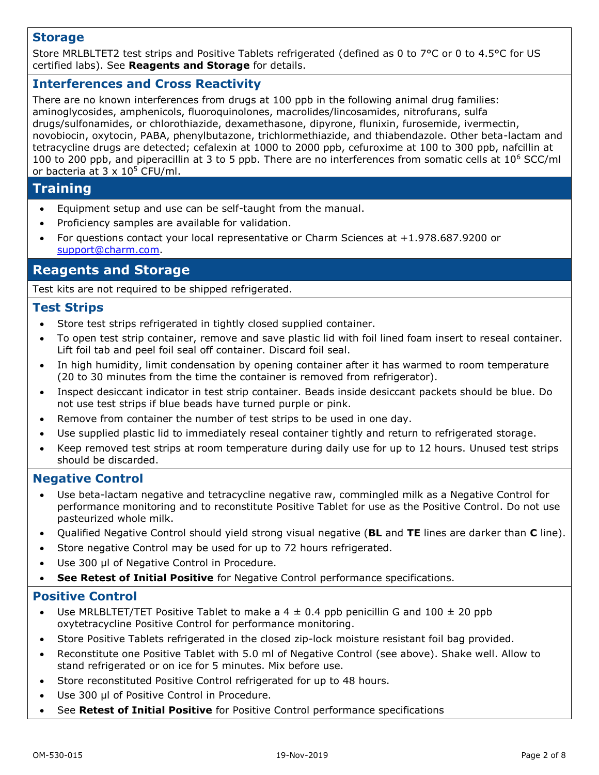#### **Storage**

Store MRLBLTET2 test strips and Positive Tablets refrigerated (defined as 0 to 7°C or 0 to 4.5°C for US certified labs). See **Reagents and Storage** for details.

#### **Interferences and Cross Reactivity**

There are no known interferences from drugs at 100 ppb in the following animal drug families: aminoglycosides, amphenicols, fluoroquinolones, macrolides/lincosamides, nitrofurans, sulfa drugs/sulfonamides, or chlorothiazide, dexamethasone, dipyrone, flunixin, furosemide, ivermectin, novobiocin, oxytocin, PABA, phenylbutazone, trichlormethiazide, and thiabendazole. Other beta-lactam and tetracycline drugs are detected; cefalexin at 1000 to 2000 ppb, cefuroxime at 100 to 300 ppb, nafcillin at 100 to 200 ppb, and piperacillin at 3 to 5 ppb. There are no interferences from somatic cells at  $10^6$  SCC/ml or bacteria at  $3 \times 10^5$  CFU/ml.

## **Training**

- Equipment setup and use can be self-taught from the manual.
- Proficiency samples are available for validation.
- For questions contact your local representative or Charm Sciences at +1.978.687.9200 or [support@charm.com.](mailto:support@charm.com)

## **Reagents and Storage**

Test kits are not required to be shipped refrigerated.

#### **Test Strips**

- Store test strips refrigerated in tightly closed supplied container.
- To open test strip container, remove and save plastic lid with foil lined foam insert to reseal container. Lift foil tab and peel foil seal off container. Discard foil seal.
- In high humidity, limit condensation by opening container after it has warmed to room temperature (20 to 30 minutes from the time the container is removed from refrigerator).
- Inspect desiccant indicator in test strip container. Beads inside desiccant packets should be blue. Do not use test strips if blue beads have turned purple or pink.
- Remove from container the number of test strips to be used in one day.
- Use supplied plastic lid to immediately reseal container tightly and return to refrigerated storage.
- Keep removed test strips at room temperature during daily use for up to 12 hours. Unused test strips should be discarded.

#### **Negative Control**

- Use beta-lactam negative and tetracycline negative raw, commingled milk as a Negative Control for performance monitoring and to reconstitute Positive Tablet for use as the Positive Control. Do not use pasteurized whole milk.
- Qualified Negative Control should yield strong visual negative (**BL** and **TE** lines are darker than **C** line).
- Store negative Control may be used for up to 72 hours refrigerated.
- Use 300 µl of Negative Control in Procedure.
- **See Retest of Initial Positive** for Negative Control performance specifications.

#### **Positive Control**

- Use MRLBLTET/TET Positive Tablet to make a  $4 \pm 0.4$  ppb penicillin G and  $100 \pm 20$  ppb oxytetracycline Positive Control for performance monitoring.
- Store Positive Tablets refrigerated in the closed zip-lock moisture resistant foil bag provided.
- Reconstitute one Positive Tablet with 5.0 ml of Negative Control (see above). Shake well. Allow to stand refrigerated or on ice for 5 minutes. Mix before use.
- Store reconstituted Positive Control refrigerated for up to 48 hours.
- Use 300 µl of Positive Control in Procedure.
- See **Retest of Initial Positive** for Positive Control performance specifications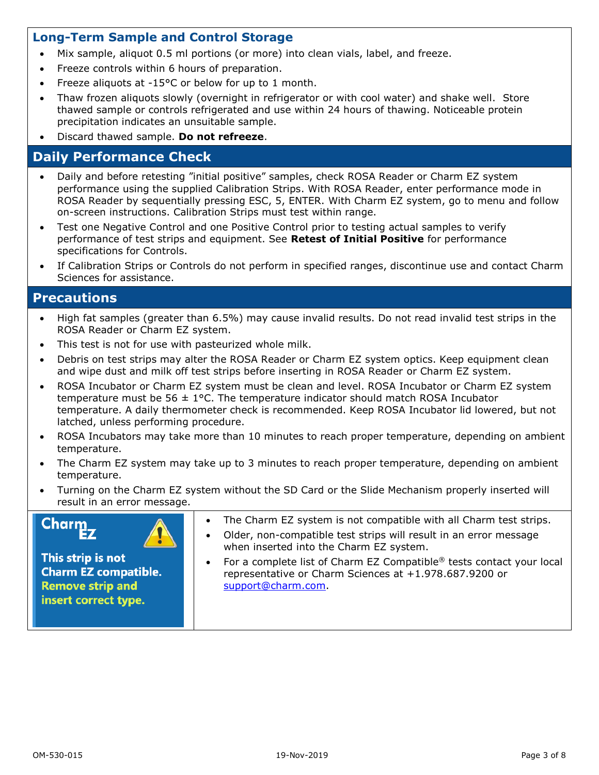#### **Long-Term Sample and Control Storage**

- Mix sample, aliquot 0.5 ml portions (or more) into clean vials, label, and freeze.
- Freeze controls within 6 hours of preparation.
- Freeze aliquots at -15°C or below for up to 1 month.
- Thaw frozen aliquots slowly (overnight in refrigerator or with cool water) and shake well. Store thawed sample or controls refrigerated and use within 24 hours of thawing. Noticeable protein precipitation indicates an unsuitable sample.
- Discard thawed sample. **Do not refreeze**.

## **Daily Performance Check**

- Daily and before retesting "initial positive" samples, check ROSA Reader or Charm EZ system performance using the supplied Calibration Strips. With ROSA Reader, enter performance mode in ROSA Reader by sequentially pressing ESC, 5, ENTER. With Charm EZ system, go to menu and follow on-screen instructions. Calibration Strips must test within range.
- Test one Negative Control and one Positive Control prior to testing actual samples to verify performance of test strips and equipment. See **Retest of Initial Positive** for performance specifications for Controls.
- If Calibration Strips or Controls do not perform in specified ranges, discontinue use and contact Charm Sciences for assistance.

#### **Precautions**

- High fat samples (greater than 6.5%) may cause invalid results. Do not read invalid test strips in the ROSA Reader or Charm EZ system.
- This test is not for use with pasteurized whole milk.
- Debris on test strips may alter the ROSA Reader or Charm EZ system optics. Keep equipment clean and wipe dust and milk off test strips before inserting in ROSA Reader or Charm EZ system.
- ROSA Incubator or Charm EZ system must be clean and level. ROSA Incubator or Charm EZ system temperature must be  $56 \pm 1$  °C. The temperature indicator should match ROSA Incubator temperature. A daily thermometer check is recommended. Keep ROSA Incubator lid lowered, but not latched, unless performing procedure.
- ROSA Incubators may take more than 10 minutes to reach proper temperature, depending on ambient temperature.
- The Charm EZ system may take up to 3 minutes to reach proper temperature, depending on ambient temperature.
- Turning on the Charm EZ system without the SD Card or the Slide Mechanism properly inserted will result in an error message.

# Charm



- The Charm EZ system is not compatible with all Charm test strips.
- Older, non-compatible test strips will result in an error message when inserted into the Charm EZ system.

This strip is not **Charm EZ compatible. Remove strip and** insert correct type.

 For a complete list of Charm EZ Compatible® tests contact your local representative or Charm Sciences at +1.978.687.9200 or [support@charm.com.](mailto:support@charm.com)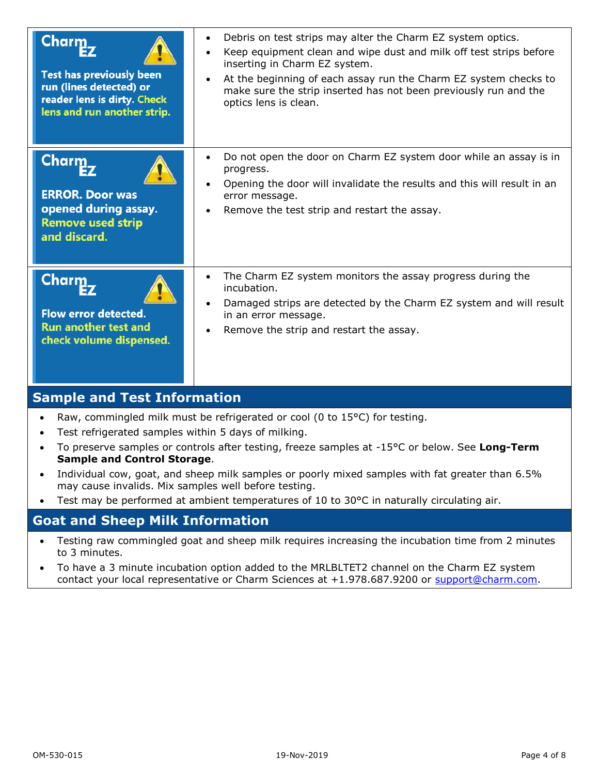| Charm<br><b>Test has previously been</b><br>run (lines detected) or<br>reader lens is dirty. Check<br>lens and run another strip. | Debris on test strips may alter the Charm EZ system optics.<br>$\bullet$<br>Keep equipment clean and wipe dust and milk off test strips before<br>$\bullet$<br>inserting in Charm EZ system.<br>At the beginning of each assay run the Charm EZ system checks to<br>make sure the strip inserted has not been previously run and the<br>optics lens is clean. |
|-----------------------------------------------------------------------------------------------------------------------------------|---------------------------------------------------------------------------------------------------------------------------------------------------------------------------------------------------------------------------------------------------------------------------------------------------------------------------------------------------------------|
| <b>Charm</b><br><b>ERROR. Door was</b><br>opened during assay.<br><b>Remove used strip</b><br>and discard.                        | Do not open the door on Charm EZ system door while an assay is in<br>$\bullet$<br>progress.<br>Opening the door will invalidate the results and this will result in an<br>$\bullet$<br>error message.<br>Remove the test strip and restart the assay.                                                                                                         |
| Charm<br>Flow error detected.<br><b>Run another test and</b><br>check volume dispensed.                                           | The Charm EZ system monitors the assay progress during the<br>$\bullet$<br>incubation.<br>Damaged strips are detected by the Charm EZ system and will result<br>in an error message.<br>Remove the strip and restart the assay.                                                                                                                               |

## **Sample and Test Information**

- Raw, commingled milk must be refrigerated or cool (0 to  $15^{\circ}$ C) for testing.
- Test refrigerated samples within 5 days of milking.
- To preserve samples or controls after testing, freeze samples at -15°C or below. See **Long-Term Sample and Control Storage**.
- Individual cow, goat, and sheep milk samples or poorly mixed samples with fat greater than 6.5% may cause invalids. Mix samples well before testing.
- Test may be performed at ambient temperatures of 10 to 30°C in naturally circulating air.

#### **Goat and Sheep Milk Information**

- Testing raw commingled goat and sheep milk requires increasing the incubation time from 2 minutes to 3 minutes.
- To have a 3 minute incubation option added to the MRLBLTET2 channel on the Charm EZ system contact your local representative or Charm Sciences at +1.978.687.9200 or [support@charm.com.](mailto:support@charm.com)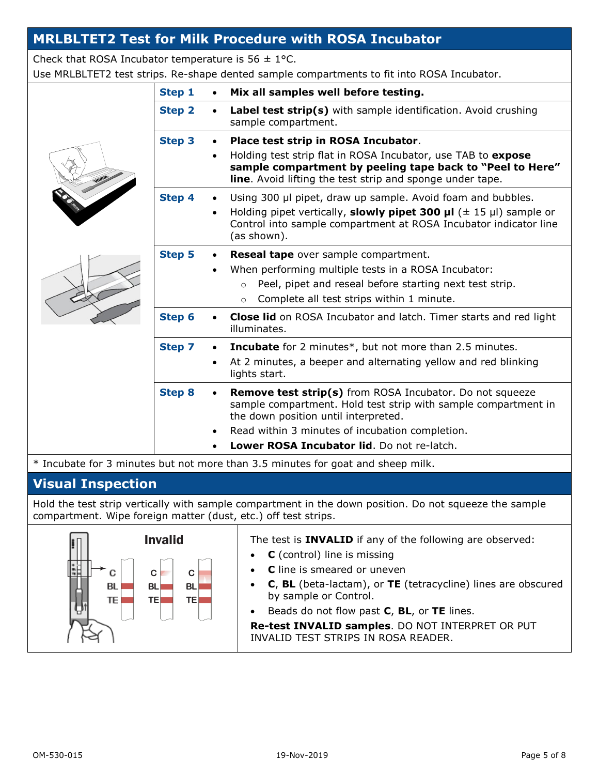## **MRLBLTET2 Test for Milk Procedure with ROSA Incubator**

Check that ROSA Incubator temperature is  $56 \pm 1$ °C.

Use MRLBLTET2 test strips. Re-shape dented sample compartments to fit into ROSA Incubator.

| Step 1        | Mix all samples well before testing.                                                                                                                                                                                                                                       |
|---------------|----------------------------------------------------------------------------------------------------------------------------------------------------------------------------------------------------------------------------------------------------------------------------|
| <b>Step 2</b> | Label test strip(s) with sample identification. Avoid crushing<br>sample compartment.                                                                                                                                                                                      |
| <b>Step 3</b> | Place test strip in ROSA Incubator.<br>Holding test strip flat in ROSA Incubator, use TAB to expose<br>$\bullet$<br>sample compartment by peeling tape back to "Peel to Here"<br>line. Avoid lifting the test strip and sponge under tape.                                 |
| Step 4        | Using 300 µl pipet, draw up sample. Avoid foam and bubbles.<br>Holding pipet vertically, <b>slowly pipet 300 µl</b> ( $\pm$ 15 µl) sample or<br>$\bullet$<br>Control into sample compartment at ROSA Incubator indicator line<br>(as shown).                               |
| <b>Step 5</b> | Reseal tape over sample compartment.<br>When performing multiple tests in a ROSA Incubator:<br>Peel, pipet and reseal before starting next test strip.<br>$\circ$<br>Complete all test strips within 1 minute.<br>$\circ$                                                  |
| Step 6        | <b>Close lid</b> on ROSA Incubator and latch. Timer starts and red light<br>illuminates.                                                                                                                                                                                   |
| <b>Step 7</b> | <b>Incubate</b> for 2 minutes*, but not more than 2.5 minutes.<br>At 2 minutes, a beeper and alternating yellow and red blinking<br>$\bullet$<br>lights start.                                                                                                             |
| <b>Step 8</b> | <b>Remove test strip(s)</b> from ROSA Incubator. Do not squeeze<br>sample compartment. Hold test strip with sample compartment in<br>the down position until interpreted.<br>Read within 3 minutes of incubation completion.<br>Lower ROSA Incubator lid. Do not re-latch. |

\* Incubate for 3 minutes but not more than 3.5 minutes for goat and sheep milk.

## **Visual Inspection**

Hold the test strip vertically with sample compartment in the down position. Do not squeeze the sample compartment. Wipe foreign matter (dust, etc.) off test strips.

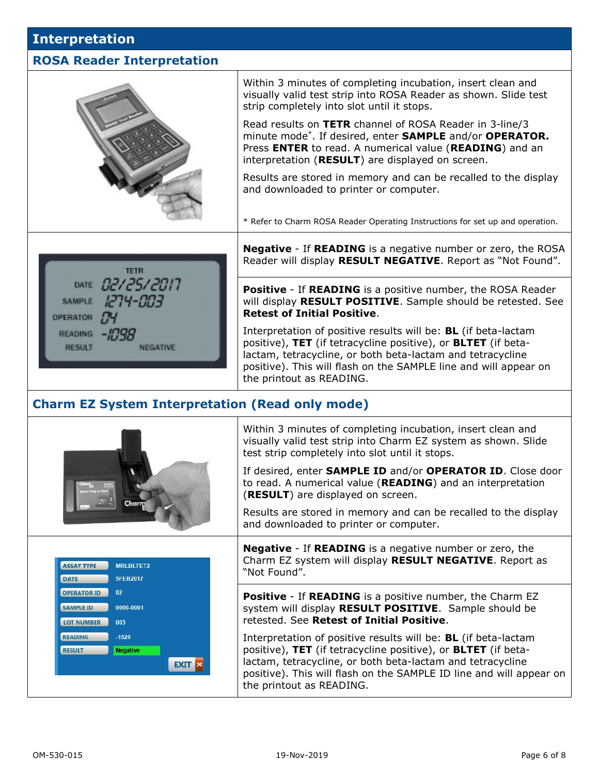#### **Interpretation**

#### **ROSA Reader Interpretation**

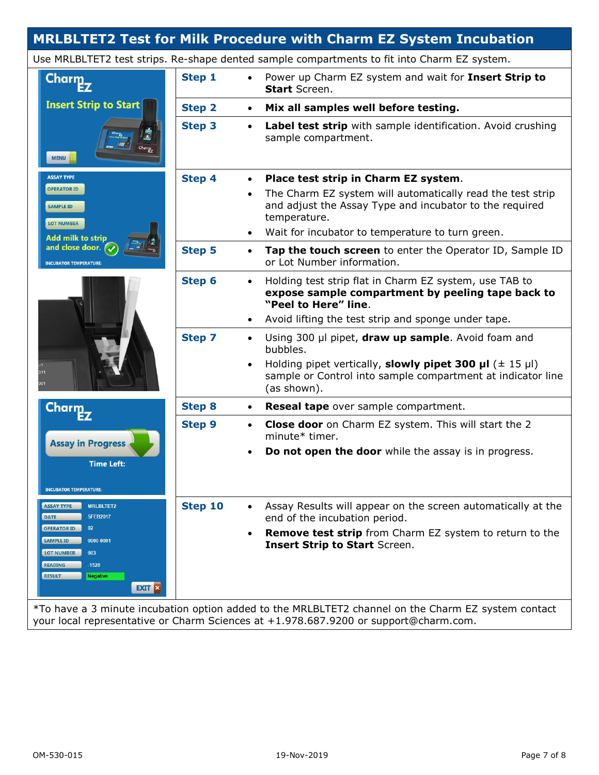## **MRLBLTET2 Test for Milk Procedure with Charm EZ System Incubation**

Use MRLBLTET2 test strips. Re-shape dented sample compartments to fit into Charm EZ system.

| Charm <sub>2</sub>                                                                                                                                                                          | Step 1                     | Power up Charm EZ system and wait for Insert Strip to<br>$\bullet$<br><b>Start</b> Screen.                                                                     |  |
|---------------------------------------------------------------------------------------------------------------------------------------------------------------------------------------------|----------------------------|----------------------------------------------------------------------------------------------------------------------------------------------------------------|--|
| <b>Insert Strip to Start</b>                                                                                                                                                                | <b>Step 2</b>              | Mix all samples well before testing.<br>$\bullet$                                                                                                              |  |
| <b>MENU</b>                                                                                                                                                                                 | <b>Step 3</b>              | Label test strip with sample identification. Avoid crushing<br>$\bullet$<br>sample compartment.                                                                |  |
| <b>ASSAY TYPE</b>                                                                                                                                                                           | <b>Step 4</b>              | Place test strip in Charm EZ system.<br>$\bullet$                                                                                                              |  |
| <b>OPERATOR ID</b><br><b>SAMPLE ID</b><br><b>LOT NUMBER</b>                                                                                                                                 |                            | The Charm EZ system will automatically read the test strip<br>$\bullet$<br>and adjust the Assay Type and incubator to the required<br>temperature.             |  |
| <b>Add milk to strip</b>                                                                                                                                                                    |                            | Wait for incubator to temperature to turn green.                                                                                                               |  |
| and close door.<br><b>INCUBATOR TEMPERATURE:</b>                                                                                                                                            | <b>Step 5</b>              | Tap the touch screen to enter the Operator ID, Sample ID<br>$\bullet$<br>or Lot Number information.                                                            |  |
|                                                                                                                                                                                             | Step 6                     | Holding test strip flat in Charm EZ system, use TAB to<br>$\bullet$<br>expose sample compartment by peeling tape back to<br>"Peel to Here" line.               |  |
|                                                                                                                                                                                             |                            | Avoid lifting the test strip and sponge under tape.                                                                                                            |  |
|                                                                                                                                                                                             | <b>Step 7</b>              | Using 300 µl pipet, draw up sample. Avoid foam and<br>$\bullet$<br>bubbles.                                                                                    |  |
|                                                                                                                                                                                             |                            | Holding pipet vertically, slowly pipet 300 µl $(\pm 15 \text{ pl})$<br>$\bullet$<br>sample or Control into sample compartment at indicator line<br>(as shown). |  |
| <b>Charm</b>                                                                                                                                                                                | <b>Step 8</b>              | Reseal tape over sample compartment.<br>$\bullet$                                                                                                              |  |
| <b>Assay in Progress</b>                                                                                                                                                                    | <b>Step 9</b><br>$\bullet$ | Close door on Charm EZ system. This will start the 2<br>minute* timer.                                                                                         |  |
| <b>Time Left:</b>                                                                                                                                                                           |                            | Do not open the door while the assay is in progress.                                                                                                           |  |
| <b>INCUBATOR TEMPERATURE:</b>                                                                                                                                                               |                            |                                                                                                                                                                |  |
| <b>MRLBLTET2</b><br><b>ASSAY TYPE</b><br>5FEB2017<br><b>DATE</b>                                                                                                                            | Step 10                    | Assay Results will appear on the screen automatically at the<br>end of the incubation period.                                                                  |  |
| <b>OPERATOR ID</b><br>02<br><b>SAMPLE ID</b><br>0000-0001<br>LOT NUMBER<br>003<br><b>READING</b><br>$-1526$<br><b>RESULT</b><br><b>Negative</b>                                             |                            | <b>Remove test strip</b> from Charm EZ system to return to the<br>$\bullet$<br><b>Insert Strip to Start Screen.</b>                                            |  |
| <b>EXIT X</b>                                                                                                                                                                               |                            |                                                                                                                                                                |  |
| *To have a 3 minute incubation option added to the MRLBLTET2 channel on the Charm EZ system contact<br>your local representative or Charm Sciences at +1.978.687.9200 or support@charm.com. |                            |                                                                                                                                                                |  |